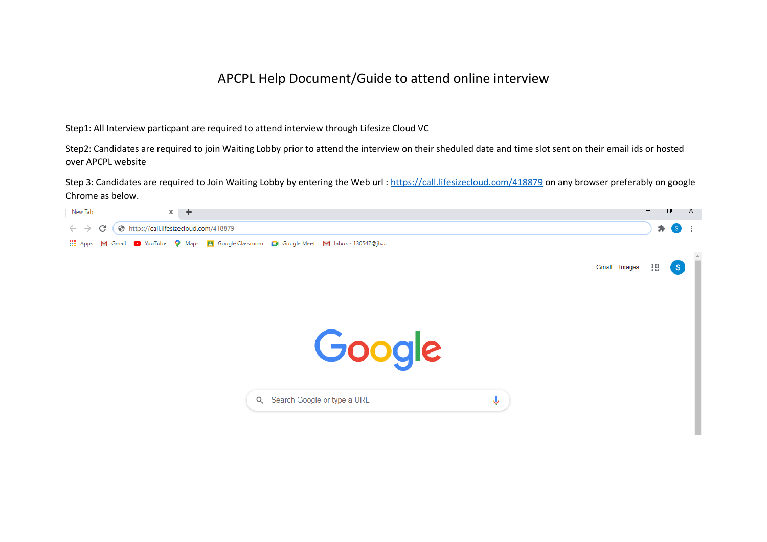## APCPL Help Document/Guide to attend online interview

Step1: All Interview particpant are required to attend interview through Lifesize Cloud VC

Step2: Candidates are required to join Waiting Lobby prior to attend the interview on their sheduled date and time slot sent on their email ids or hosted over APCPL website

Step 3: Candidates are required to Join Waiting Lobby by entering the Web url:<https://call.lifesizecloud.com/418879> on any browser preferably on google Chrome as below.

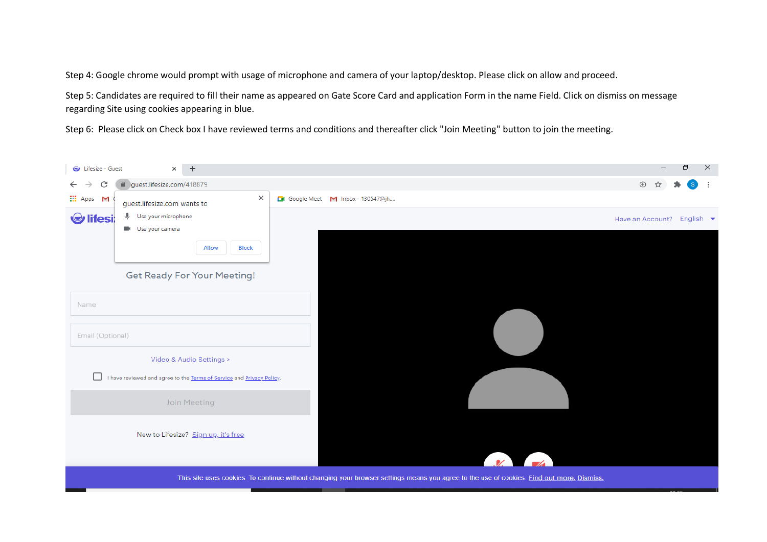Step 4: Google chrome would prompt with usage of microphone and camera of your laptop/desktop. Please click on allow and proceed.

Step 5: Candidates are required to fill their name as appeared on Gate Score Card and application Form in the name Field. Click on dismiss on message regarding Site using cookies appearing in blue.

Step 6: Please click on Check box I have reviewed terms and conditions and thereafter click "Join Meeting" button to join the meeting.

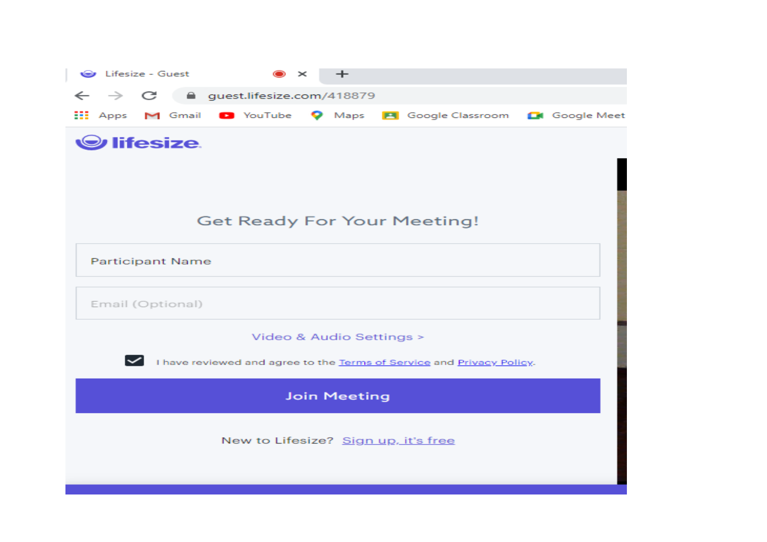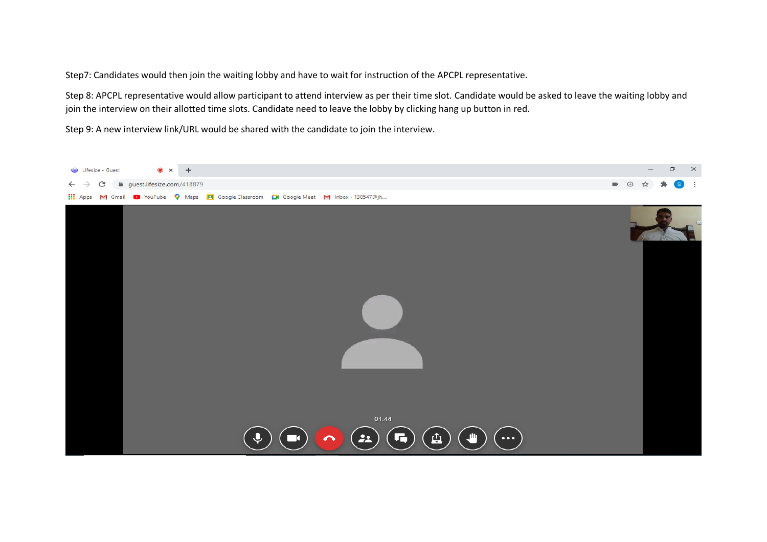Step7: Candidates would then join the waiting lobby and have to wait for instruction of the APCPL representative.

Step 8: APCPL representative would allow participant to attend interview as per their time slot. Candidate would be asked to leave the waiting lobby and join the interview on their allotted time slots. Candidate need to leave the lobby by clicking hang up button in red.

Step 9: A new interview link/URL would be shared with the candidate to join the interview.